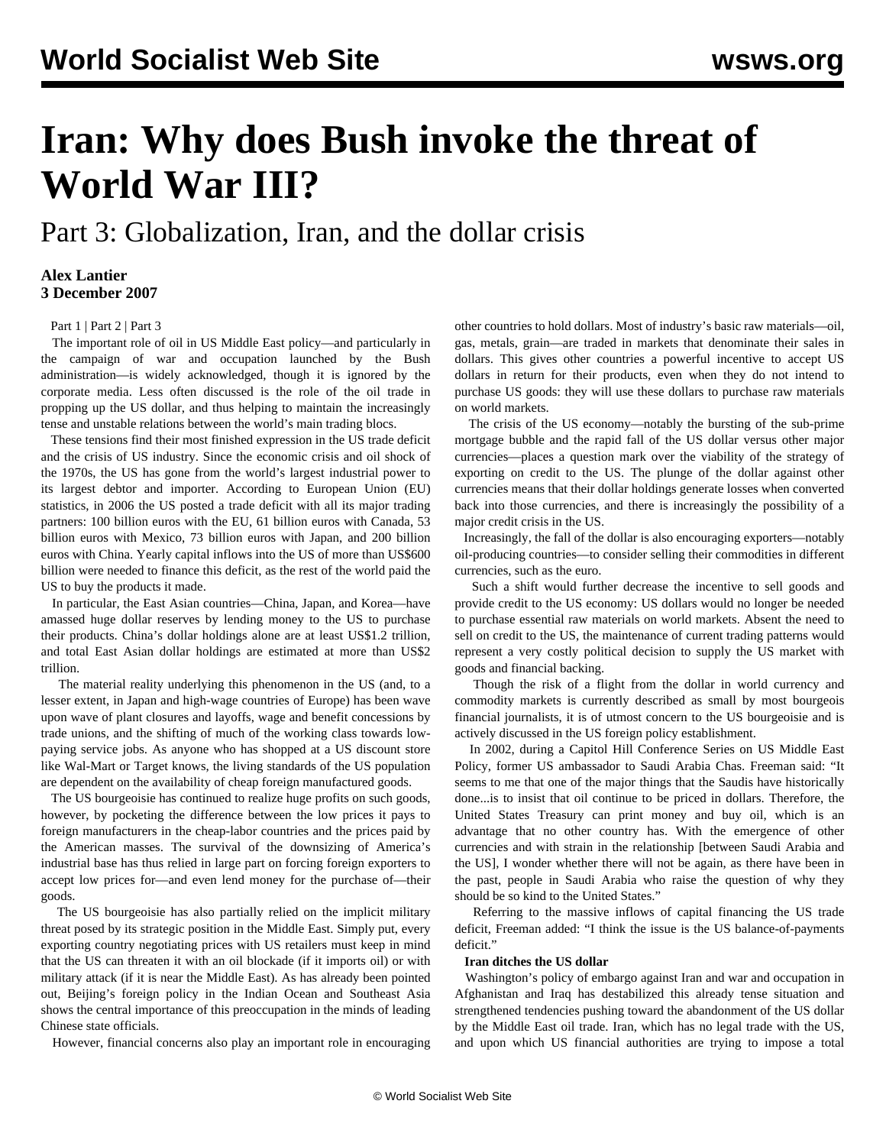# **Iran: Why does Bush invoke the threat of World War III?**

## Part 3: Globalization, Iran, and the dollar crisis

### **Alex Lantier 3 December 2007**

[Part 1](/en/articles/2007/11/iran-n30.html) | [Part 2](/en/articles/2007/12/iran-d01.html) | [Part 3](/en/articles/2007/12/irn3-d03.html)

 The important role of oil in US Middle East policy—and particularly in the campaign of war and occupation launched by the Bush administration—is widely acknowledged, though it is ignored by the corporate media. Less often discussed is the role of the oil trade in propping up the US dollar, and thus helping to maintain the increasingly tense and unstable relations between the world's main trading blocs.

 These tensions find their most finished expression in the US trade deficit and the crisis of US industry. Since the economic crisis and oil shock of the 1970s, the US has gone from the world's largest industrial power to its largest debtor and importer. According to European Union (EU) statistics, in 2006 the US posted a trade deficit with all its major trading partners: 100 billion euros with the EU, 61 billion euros with Canada, 53 billion euros with Mexico, 73 billion euros with Japan, and 200 billion euros with China. Yearly capital inflows into the US of more than US\$600 billion were needed to finance this deficit, as the rest of the world paid the US to buy the products it made.

 In particular, the East Asian countries—China, Japan, and Korea—have amassed huge dollar reserves by lending money to the US to purchase their products. China's dollar holdings alone are at least US\$1.2 trillion, and total East Asian dollar holdings are estimated at more than US\$2 trillion.

 The material reality underlying this phenomenon in the US (and, to a lesser extent, in Japan and high-wage countries of Europe) has been wave upon wave of plant closures and layoffs, wage and benefit concessions by trade unions, and the shifting of much of the working class towards lowpaying service jobs. As anyone who has shopped at a US discount store like Wal-Mart or Target knows, the living standards of the US population are dependent on the availability of cheap foreign manufactured goods.

 The US bourgeoisie has continued to realize huge profits on such goods, however, by pocketing the difference between the low prices it pays to foreign manufacturers in the cheap-labor countries and the prices paid by the American masses. The survival of the downsizing of America's industrial base has thus relied in large part on forcing foreign exporters to accept low prices for—and even lend money for the purchase of—their goods.

 The US bourgeoisie has also partially relied on the implicit military threat posed by its strategic position in the Middle East. Simply put, every exporting country negotiating prices with US retailers must keep in mind that the US can threaten it with an oil blockade (if it imports oil) or with military attack (if it is near the Middle East). As has already been pointed out, Beijing's foreign policy in the Indian Ocean and Southeast Asia shows the central importance of this preoccupation in the minds of leading Chinese state officials.

However, financial concerns also play an important role in encouraging

other countries to hold dollars. Most of industry's basic raw materials—oil, gas, metals, grain—are traded in markets that denominate their sales in dollars. This gives other countries a powerful incentive to accept US dollars in return for their products, even when they do not intend to purchase US goods: they will use these dollars to purchase raw materials on world markets.

 The crisis of the US economy—notably the bursting of the sub-prime mortgage bubble and the rapid fall of the US dollar versus other major currencies—places a question mark over the viability of the strategy of exporting on credit to the US. The plunge of the dollar against other currencies means that their dollar holdings generate losses when converted back into those currencies, and there is increasingly the possibility of a major credit crisis in the US.

 Increasingly, the fall of the dollar is also encouraging exporters—notably oil-producing countries—to consider selling their commodities in different currencies, such as the euro.

 Such a shift would further decrease the incentive to sell goods and provide credit to the US economy: US dollars would no longer be needed to purchase essential raw materials on world markets. Absent the need to sell on credit to the US, the maintenance of current trading patterns would represent a very costly political decision to supply the US market with goods and financial backing.

 Though the risk of a flight from the dollar in world currency and commodity markets is currently described as small by most bourgeois financial journalists, it is of utmost concern to the US bourgeoisie and is actively discussed in the US foreign policy establishment.

 In 2002, during a Capitol Hill Conference Series on US Middle East Policy, former US ambassador to Saudi Arabia Chas. Freeman said: "It seems to me that one of the major things that the Saudis have historically done...is to insist that oil continue to be priced in dollars. Therefore, the United States Treasury can print money and buy oil, which is an advantage that no other country has. With the emergence of other currencies and with strain in the relationship [between Saudi Arabia and the US], I wonder whether there will not be again, as there have been in the past, people in Saudi Arabia who raise the question of why they should be so kind to the United States."

 Referring to the massive inflows of capital financing the US trade deficit, Freeman added: "I think the issue is the US balance-of-payments deficit."

#### **Iran ditches the US dollar**

 Washington's policy of embargo against Iran and war and occupation in Afghanistan and Iraq has destabilized this already tense situation and strengthened tendencies pushing toward the abandonment of the US dollar by the Middle East oil trade. Iran, which has no legal trade with the US, and upon which US financial authorities are trying to impose a total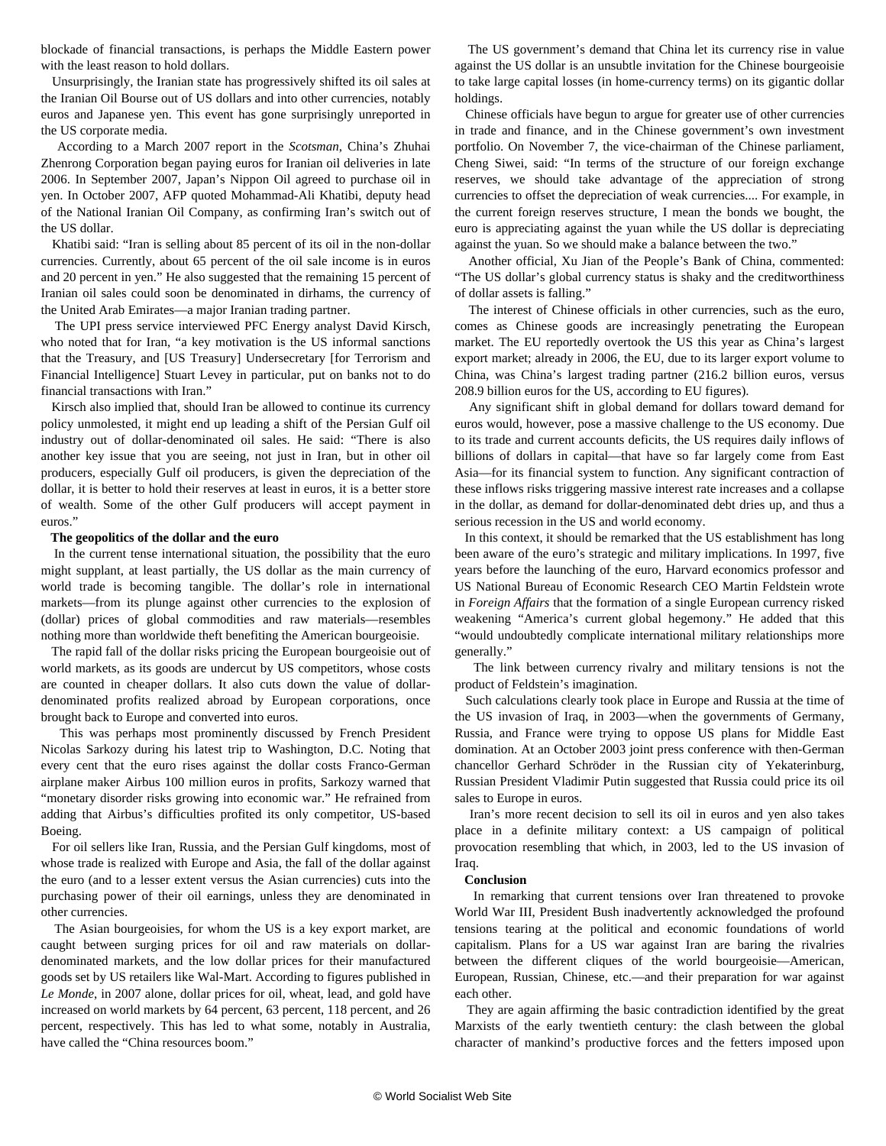blockade of financial transactions, is perhaps the Middle Eastern power with the least reason to hold dollars.

 Unsurprisingly, the Iranian state has progressively shifted its oil sales at the Iranian Oil Bourse out of US dollars and into other currencies, notably euros and Japanese yen. This event has gone surprisingly unreported in the US corporate media.

 According to a March 2007 report in the *Scotsman*, China's Zhuhai Zhenrong Corporation began paying euros for Iranian oil deliveries in late 2006. In September 2007, Japan's Nippon Oil agreed to purchase oil in yen. In October 2007, AFP quoted Mohammad-Ali Khatibi, deputy head of the National Iranian Oil Company, as confirming Iran's switch out of the US dollar.

 Khatibi said: "Iran is selling about 85 percent of its oil in the non-dollar currencies. Currently, about 65 percent of the oil sale income is in euros and 20 percent in yen." He also suggested that the remaining 15 percent of Iranian oil sales could soon be denominated in dirhams, the currency of the United Arab Emirates—a major Iranian trading partner.

 The UPI press service interviewed PFC Energy analyst David Kirsch, who noted that for Iran, "a key motivation is the US informal sanctions that the Treasury, and [US Treasury] Undersecretary [for Terrorism and Financial Intelligence] Stuart Levey in particular, put on banks not to do financial transactions with Iran."

 Kirsch also implied that, should Iran be allowed to continue its currency policy unmolested, it might end up leading a shift of the Persian Gulf oil industry out of dollar-denominated oil sales. He said: "There is also another key issue that you are seeing, not just in Iran, but in other oil producers, especially Gulf oil producers, is given the depreciation of the dollar, it is better to hold their reserves at least in euros, it is a better store of wealth. Some of the other Gulf producers will accept payment in euros."

#### **The geopolitics of the dollar and the euro**

 In the current tense international situation, the possibility that the euro might supplant, at least partially, the US dollar as the main currency of world trade is becoming tangible. The dollar's role in international markets—from its plunge against other currencies to the explosion of (dollar) prices of global commodities and raw materials—resembles nothing more than worldwide theft benefiting the American bourgeoisie.

 The rapid fall of the dollar risks pricing the European bourgeoisie out of world markets, as its goods are undercut by US competitors, whose costs are counted in cheaper dollars. It also cuts down the value of dollardenominated profits realized abroad by European corporations, once brought back to Europe and converted into euros.

 This was perhaps most prominently discussed by French President Nicolas Sarkozy during his latest trip to Washington, D.C. Noting that every cent that the euro rises against the dollar costs Franco-German airplane maker Airbus 100 million euros in profits, Sarkozy warned that "monetary disorder risks growing into economic war." He refrained from adding that Airbus's difficulties profited its only competitor, US-based Boeing.

 For oil sellers like Iran, Russia, and the Persian Gulf kingdoms, most of whose trade is realized with Europe and Asia, the fall of the dollar against the euro (and to a lesser extent versus the Asian currencies) cuts into the purchasing power of their oil earnings, unless they are denominated in other currencies.

 The Asian bourgeoisies, for whom the US is a key export market, are caught between surging prices for oil and raw materials on dollardenominated markets, and the low dollar prices for their manufactured goods set by US retailers like Wal-Mart. According to figures published in *Le Monde*, in 2007 alone, dollar prices for oil, wheat, lead, and gold have increased on world markets by 64 percent, 63 percent, 118 percent, and 26 percent, respectively. This has led to what some, notably in Australia, have called the "China resources boom."

 The US government's demand that China let its currency rise in value against the US dollar is an unsubtle invitation for the Chinese bourgeoisie to take large capital losses (in home-currency terms) on its gigantic dollar holdings.

 Chinese officials have begun to argue for greater use of other currencies in trade and finance, and in the Chinese government's own investment portfolio. On November 7, the vice-chairman of the Chinese parliament, Cheng Siwei, said: "In terms of the structure of our foreign exchange reserves, we should take advantage of the appreciation of strong currencies to offset the depreciation of weak currencies.... For example, in the current foreign reserves structure, I mean the bonds we bought, the euro is appreciating against the yuan while the US dollar is depreciating against the yuan. So we should make a balance between the two."

 Another official, Xu Jian of the People's Bank of China, commented: "The US dollar's global currency status is shaky and the creditworthiness of dollar assets is falling."

 The interest of Chinese officials in other currencies, such as the euro, comes as Chinese goods are increasingly penetrating the European market. The EU reportedly overtook the US this year as China's largest export market; already in 2006, the EU, due to its larger export volume to China, was China's largest trading partner (216.2 billion euros, versus 208.9 billion euros for the US, according to EU figures).

 Any significant shift in global demand for dollars toward demand for euros would, however, pose a massive challenge to the US economy. Due to its trade and current accounts deficits, the US requires daily inflows of billions of dollars in capital—that have so far largely come from East Asia—for its financial system to function. Any significant contraction of these inflows risks triggering massive interest rate increases and a collapse in the dollar, as demand for dollar-denominated debt dries up, and thus a serious recession in the US and world economy.

 In this context, it should be remarked that the US establishment has long been aware of the euro's strategic and military implications. In 1997, five years before the launching of the euro, Harvard economics professor and US National Bureau of Economic Research CEO Martin Feldstein wrote in *Foreign Affairs* that the formation of a single European currency risked weakening "America's current global hegemony." He added that this "would undoubtedly complicate international military relationships more generally."

 The link between currency rivalry and military tensions is not the product of Feldstein's imagination.

 Such calculations clearly took place in Europe and Russia at the time of the US invasion of Iraq, in 2003—when the governments of Germany, Russia, and France were trying to oppose US plans for Middle East domination. At an October 2003 joint press conference with then-German chancellor Gerhard Schröder in the Russian city of Yekaterinburg, Russian President Vladimir Putin suggested that Russia could price its oil sales to Europe in euros.

 Iran's more recent decision to sell its oil in euros and yen also takes place in a definite military context: a US campaign of political provocation resembling that which, in 2003, led to the US invasion of Iraq.

#### **Conclusion**

 In remarking that current tensions over Iran threatened to provoke World War III, President Bush inadvertently acknowledged the profound tensions tearing at the political and economic foundations of world capitalism. Plans for a US war against Iran are baring the rivalries between the different cliques of the world bourgeoisie—American, European, Russian, Chinese, etc.—and their preparation for war against each other.

 They are again affirming the basic contradiction identified by the great Marxists of the early twentieth century: the clash between the global character of mankind's productive forces and the fetters imposed upon